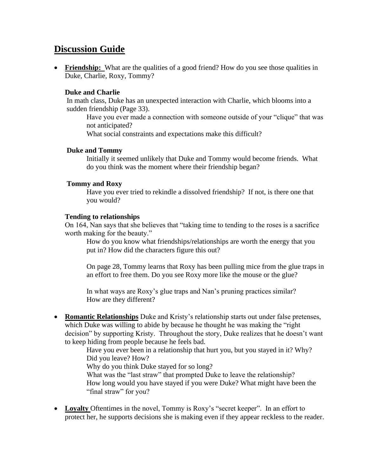# **Discussion Guide**

• **Friendship:** What are the qualities of a good friend? How do you see those qualities in Duke, Charlie, Roxy, Tommy?

## **Duke and Charlie**

In math class, Duke has an unexpected interaction with Charlie, which blooms into a sudden friendship (Page 33).

Have you ever made a connection with someone outside of your "clique" that was not anticipated?

What social constraints and expectations make this difficult?

#### **Duke and Tommy**

Initially it seemed unlikely that Duke and Tommy would become friends. What do you think was the moment where their friendship began?

### **Tommy and Roxy**

Have you ever tried to rekindle a dissolved friendship? If not, is there one that you would?

#### **Tending to relationships**

On 164, Nan says that she believes that "taking time to tending to the roses is a sacrifice worth making for the beauty."

How do you know what friendships/relationships are worth the energy that you put in? How did the characters figure this out?

On page 28, Tommy learns that Roxy has been pulling mice from the glue traps in an effort to free them. Do you see Roxy more like the mouse or the glue?

In what ways are Roxy's glue traps and Nan's pruning practices similar? How are they different?

• **Romantic Relationships** Duke and Kristy's relationship starts out under false pretenses, which Duke was willing to abide by because he thought he was making the "right decision" by supporting Kristy. Throughout the story, Duke realizes that he doesn't want to keep hiding from people because he feels bad.

> Have you ever been in a relationship that hurt you, but you stayed in it? Why? Did you leave? How?

Why do you think Duke stayed for so long?

What was the "last straw" that prompted Duke to leave the relationship? How long would you have stayed if you were Duke? What might have been the "final straw" for you?

• Loyalty Oftentimes in the novel, Tommy is Roxy's "secret keeper". In an effort to protect her, he supports decisions she is making even if they appear reckless to the reader.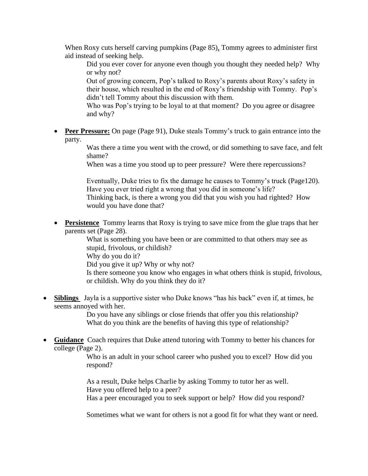When Roxy cuts herself carving pumpkins (Page 85), Tommy agrees to administer first aid instead of seeking help.

Did you ever cover for anyone even though you thought they needed help? Why or why not?

Out of growing concern, Pop's talked to Roxy's parents about Roxy's safety in their house, which resulted in the end of Roxy's friendship with Tommy. Pop's didn't tell Tommy about this discussion with them.

Who was Pop's trying to be loyal to at that moment? Do you agree or disagree and why?

• **Peer Pressure:** On page (Page 91), Duke steals Tommy's truck to gain entrance into the party.

> Was there a time you went with the crowd, or did something to save face, and felt shame?

When was a time you stood up to peer pressure? Were there repercussions?

Eventually, Duke tries to fix the damage he causes to Tommy's truck (Page120). Have you ever tried right a wrong that you did in someone's life? Thinking back, is there a wrong you did that you wish you had righted? How would you have done that?

• **Persistence** Tommy learns that Roxy is trying to save mice from the glue traps that her parents set (Page 28).

What is something you have been or are committed to that others may see as stupid, frivolous, or childish? Why do you do it? Did you give it up? Why or why not?

Is there someone you know who engages in what others think is stupid, frivolous, or childish. Why do you think they do it?

• **Siblings** Jayla is a supportive sister who Duke knows "has his back" even if, at times, he seems annoyed with her.

> Do you have any siblings or close friends that offer you this relationship? What do you think are the benefits of having this type of relationship?

• **Guidance** Coach requires that Duke attend tutoring with Tommy to better his chances for college (Page 2).

> Who is an adult in your school career who pushed you to excel? How did you respond?

As a result, Duke helps Charlie by asking Tommy to tutor her as well. Have you offered help to a peer?

Has a peer encouraged you to seek support or help? How did you respond?

Sometimes what we want for others is not a good fit for what they want or need.